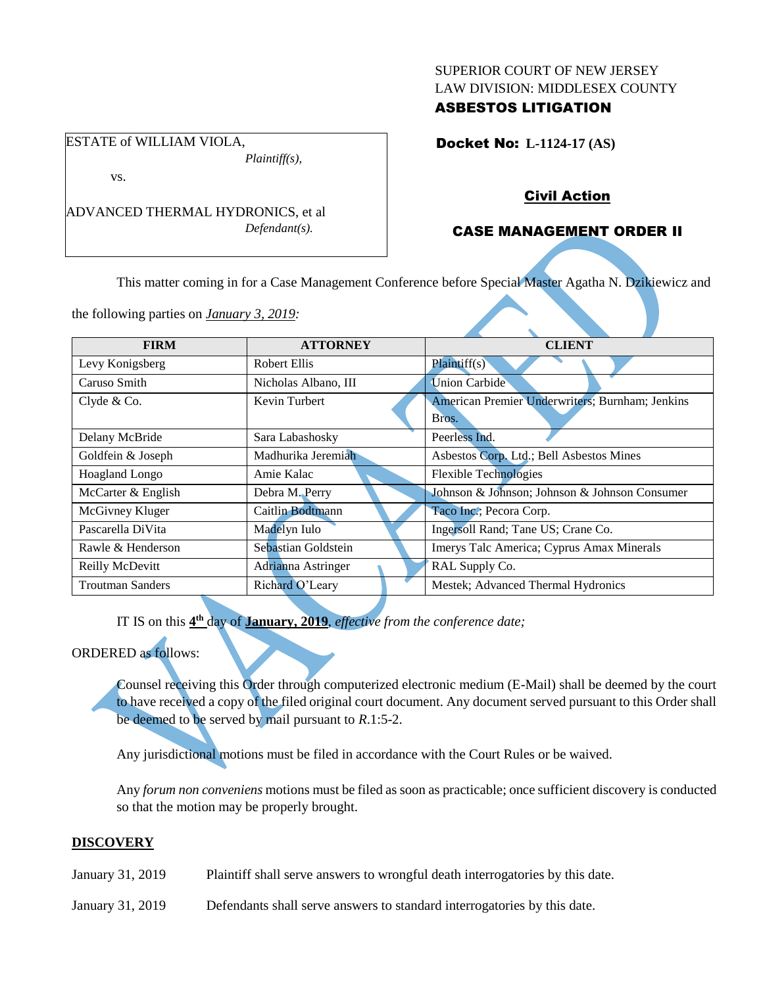#### SUPERIOR COURT OF NEW JERSEY LAW DIVISION: MIDDLESEX COUNTY

## ASBESTOS LITIGATION

Docket No: **L-1124-17 (AS)** 

ESTATE of WILLIAM VIOLA,

vs.

ADVANCED THERMAL HYDRONICS, et al *Defendant(s).*

*Plaintiff(s),*

## Civil Action

## CASE MANAGEMENT ORDER II

This matter coming in for a Case Management Conference before Special Master Agatha N. Dzikiewicz and

the following parties on *January 3, 2019:*

|                      | <b>CLIENT</b>                                   |
|----------------------|-------------------------------------------------|
| <b>Robert Ellis</b>  | Plaintiff(s)                                    |
| Nicholas Albano, III | <b>Union Carbide</b>                            |
| Kevin Turbert        | American Premier Underwriters; Burnham; Jenkins |
|                      | Bros.                                           |
| Sara Labashosky      | Peerless Ind.                                   |
| Madhurika Jeremiah   | Asbestos Corp. Ltd.; Bell Asbestos Mines        |
| Amie Kalac           | <b>Flexible Technologies</b>                    |
| Debra M. Perry       | Johnson & Johnson; Johnson & Johnson Consumer   |
| Caitlin Bodtmann     | Taco Inc.; Pecora Corp.                         |
| Madelyn Iulo         | Ingersoll Rand; Tane US; Crane Co.              |
| Sebastian Goldstein  | Imerys Talc America; Cyprus Amax Minerals       |
| Adrianna Astringer   | RAL Supply Co.                                  |
| Richard O'Leary      | Mestek; Advanced Thermal Hydronics              |
|                      | <b>ATTORNEY</b>                                 |

IT IS on this  $4^{\text{th}}$  day of **January, 2019**, *effective from the conference date*;

# ORDERED as follows:

Counsel receiving this Order through computerized electronic medium (E-Mail) shall be deemed by the court to have received a copy of the filed original court document. Any document served pursuant to this Order shall be deemed to be served by mail pursuant to *R*.1:5-2.

Any jurisdictional motions must be filed in accordance with the Court Rules or be waived.

Any *forum non conveniens* motions must be filed as soon as practicable; once sufficient discovery is conducted so that the motion may be properly brought.

## **DISCOVERY**

- January 31, 2019 Plaintiff shall serve answers to wrongful death interrogatories by this date.
- January 31, 2019 Defendants shall serve answers to standard interrogatories by this date.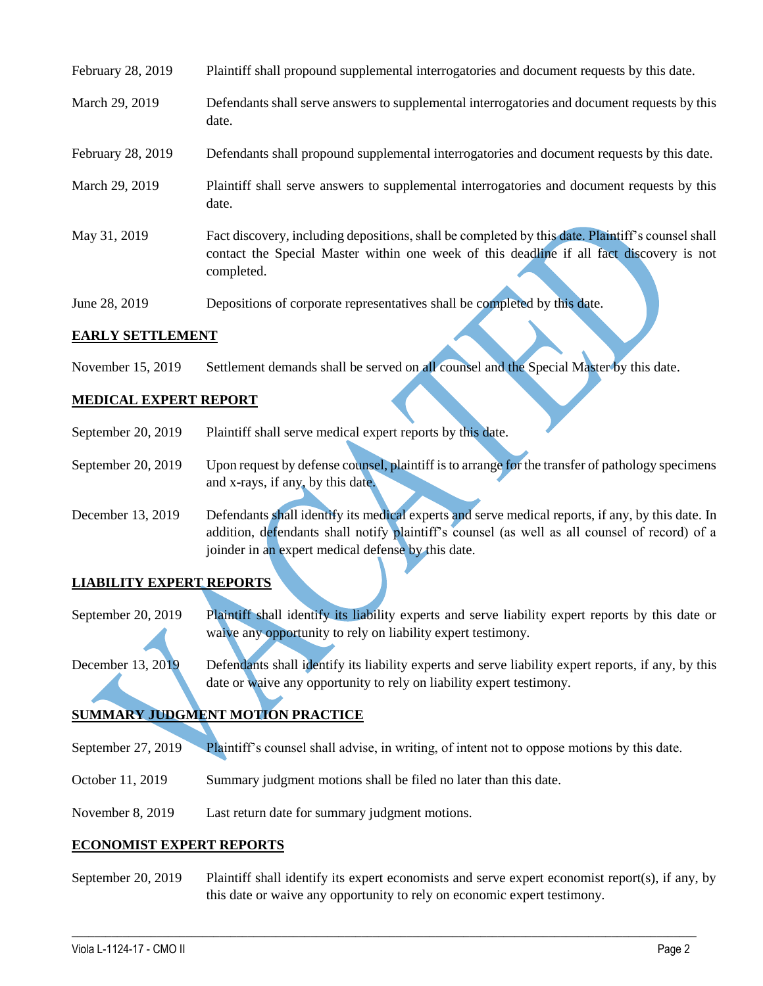| February 28, 2019 | Plaintiff shall propound supplemental interrogatories and document requests by this date.                                                                                                                   |
|-------------------|-------------------------------------------------------------------------------------------------------------------------------------------------------------------------------------------------------------|
| March 29, 2019    | Defendants shall serve answers to supplemental interrogatories and document requests by this<br>date.                                                                                                       |
| February 28, 2019 | Defendants shall propound supplemental interrogatories and document requests by this date.                                                                                                                  |
| March 29, 2019    | Plaintiff shall serve answers to supplemental interrogatories and document requests by this<br>date.                                                                                                        |
| May 31, 2019      | Fact discovery, including depositions, shall be completed by this date. Plaintiff's counsel shall<br>contact the Special Master within one week of this deadline if all fact discovery is not<br>completed. |
| June 28, 2019     | Depositions of corporate representatives shall be completed by this date.                                                                                                                                   |

#### **EARLY SETTLEMENT**

November 15, 2019 Settlement demands shall be served on all counsel and the Special Master by this date.

## **MEDICAL EXPERT REPORT**

- September 20, 2019 Plaintiff shall serve medical expert reports by this date.
- September 20, 2019 Upon request by defense counsel, plaintiff is to arrange for the transfer of pathology specimens and x-rays, if any, by this date.
- December 13, 2019 Defendants shall identify its medical experts and serve medical reports, if any, by this date. In addition, defendants shall notify plaintiff's counsel (as well as all counsel of record) of a joinder in an expert medical defense by this date.

## **LIABILITY EXPERT REPORTS**

- September 20, 2019 Plaintiff shall identify its liability experts and serve liability expert reports by this date or waive any opportunity to rely on liability expert testimony.
- December 13, 2019 Defendants shall identify its liability experts and serve liability expert reports, if any, by this date or waive any opportunity to rely on liability expert testimony.

# **SUMMARY JUDGMENT MOTION PRACTICE**

- September 27, 2019 Plaintiff's counsel shall advise, in writing, of intent not to oppose motions by this date.
- October 11, 2019 Summary judgment motions shall be filed no later than this date.
- November 8, 2019 Last return date for summary judgment motions.

#### **ECONOMIST EXPERT REPORTS**

September 20, 2019 Plaintiff shall identify its expert economists and serve expert economist report(s), if any, by this date or waive any opportunity to rely on economic expert testimony.

 $\_$  , and the set of the set of the set of the set of the set of the set of the set of the set of the set of the set of the set of the set of the set of the set of the set of the set of the set of the set of the set of th